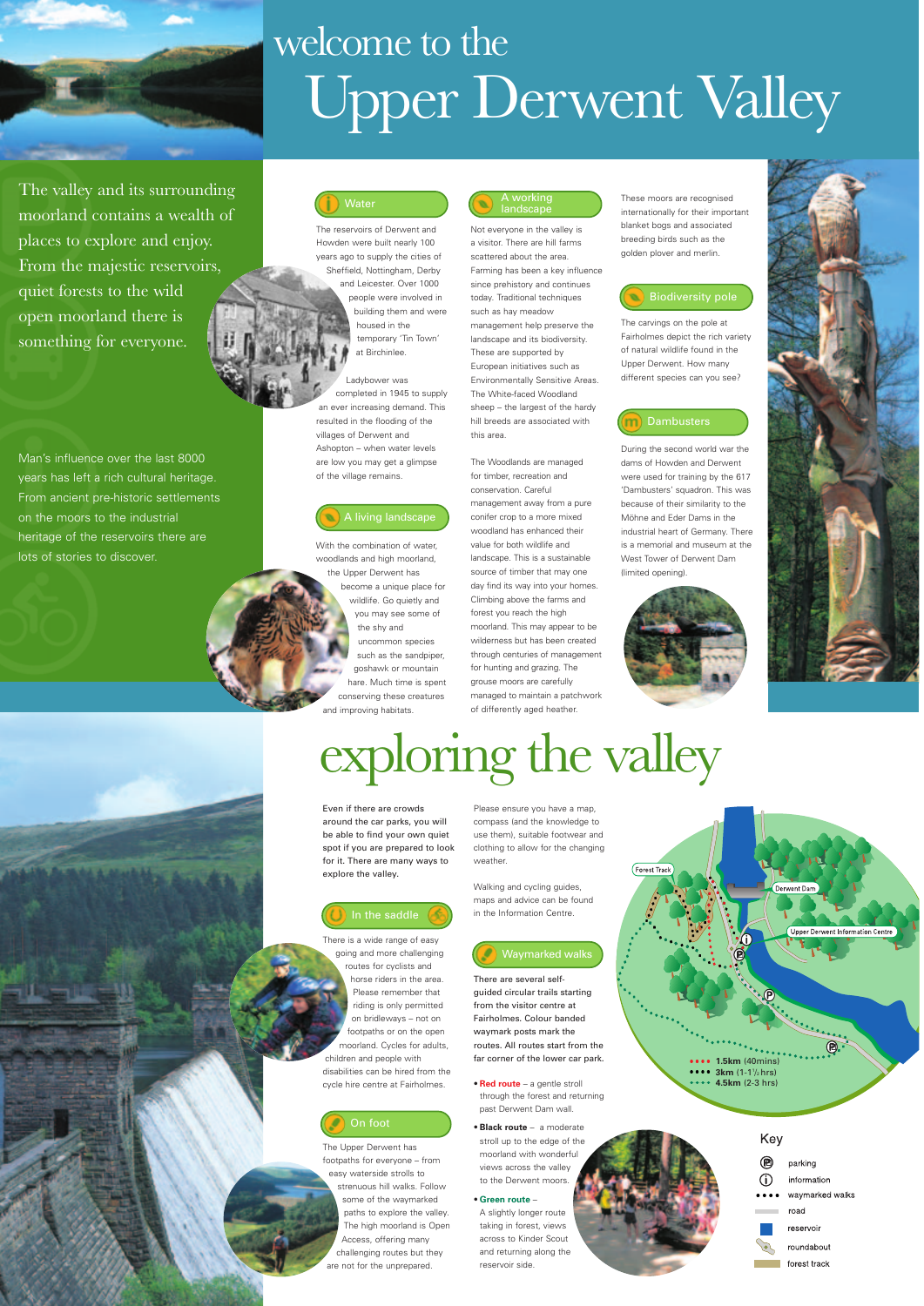

Even if there are crowds around the car parks, you will be able to find your own quiet spot if you are prepared to look for it. There are many ways to explore the valley.

There is a wide range of easy going and more challenging routes for cyclists and horse riders in the area.

Please ensure you have a map, compass (and the knowledge to use them), suitable footwear and clothing to allow for the changing weather

Please remember that riding is only permitted on bridleways – not on footpaths or on the open moorland. Cycles for adults, children and people with disabilities can be hired from the cycle hire centre at Fairholmes.

The Upper Derwent has footpaths for everyone – from easy waterside strolls to strenuous hill walks. Follow some of the waymarked paths to explore the valley. The high moorland is Open Access, offering many challenging routes but they are not for the unprepared.

Walking and cycling guides, maps and advice can be found in the Information Centre.

### There are several self-



Key ® parking (i) information waymarked walks road reservoir roundabout forest track

- guided circular trails starting from the visitor centre at Fairholmes. Colour banded waymark posts mark the routes. All routes start from the far corner of the lower car park.
- **Red route** a gentle stroll through the forest and returning past Derwent Dam wall.
- **Black route** a moderate stroll up to the edge of the moorland with wonderful views across the valley to the Derwent moors.
- **Green route** –

Not everyone in the valley is a visitor. There are hill farms scattered about the area. Farming has been a key influence since prehistory and continues today. Traditional techniques such as hay meadow management help preserve the landscape and its biodiversity. These are supported by European initiatives such as Environmentally Sensitive Areas. The White-faced Woodland sheep – the largest of the hardy hill breeds are associated with this area.

A slightly longer route taking in forest, views across to Kinder Scout and returning along the reservoir side.

Man's influence over the last 8000 years has left a rich cultural heritage. From ancient pre-historic settlements on the moors to the industrial heritage of the reservoirs there are lots of stories to discover.

The valley and its surrounding moorland contains a wealth of places to explore and enjoy. From the majestic reservoirs, quiet forests to the wild open moorland there is something for everyone.

# exploring the valley



# welcome to the Upper Derwent Valley

### On foot

Waymarked walks

### A living landscape

### A working landscape

## Biodiversity pole



The reservoirs of Derwent and Howden were built nearly 100 years ago to supply the cities of Sheffield, Nottingham, Derby and Leicester. Over 1000 people were involved in building them and were housed in the temporary 'Tin Town' at Birchinlee.

Ladybower was completed in 1945 to supply an ever increasing demand. This resulted in the flooding of the villages of Derwent and Ashopton – when water levels are low you may get a glimpse of the village remains.

The Woodlands are managed for timber, recreation and conservation. Careful management away from a pure conifer crop to a more mixed woodland has enhanced their value for both wildlife and landscape. This is a sustainable source of timber that may one day find its way into your homes. Climbing above the farms and forest you reach the high moorland. This may appear to be wilderness but has been created through centuries of management for hunting and grazing. The grouse moors are carefully managed to maintain a patchwork of differently aged heather.

With the combination of water, woodlands and high moorland, the Upper Derwent has become a unique place for wildlife. Go quietly and you may see some of the shy and uncommon species such as the sandpiper, goshawk or mountain hare. Much time is spent conserving these creatures and improving habitats.

These moors are recognised internationally for their important blanket bogs and associated breeding birds such as the golden plover and merlin.

The carvings on the pole at Fairholmes depict the rich variety of natural wildlife found in the Upper Derwent. How many different species can you see?

### **Dambusters**

During the second world war the dams of Howden and Derwent were used for training by the 617 'Dambusters' squadron. This was because of their similarity to the Möhne and Eder Dams in the industrial heart of Germany. There is a memorial and museum at the West Tower of Derwent Dam (limited opening).